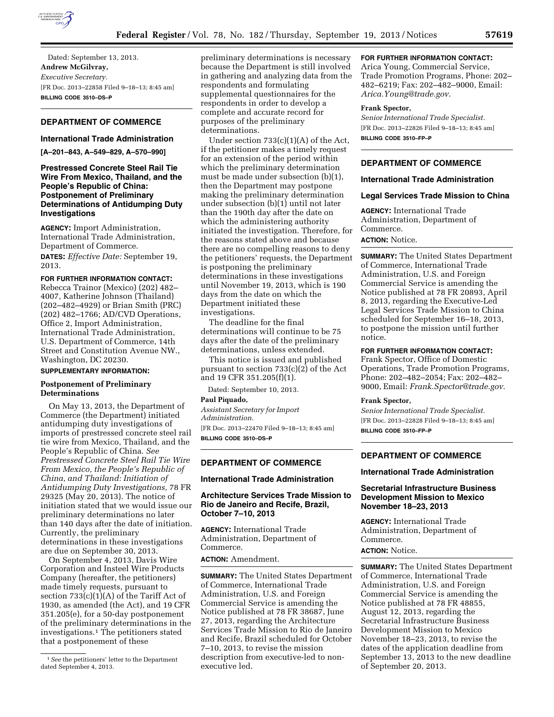

Dated: September 13, 2013. **Andrew McGilvray,**  *Executive Secretary.*  [FR Doc. 2013–22858 Filed 9–18–13; 8:45 am] **BILLING CODE 3510–DS–P** 

# **DEPARTMENT OF COMMERCE**

# **International Trade Administration**

**[A–201–843, A–549–829, A–570–990]** 

### **Prestressed Concrete Steel Rail Tie Wire From Mexico, Thailand, and the People's Republic of China: Postponement of Preliminary Determinations of Antidumping Duty Investigations**

**AGENCY:** Import Administration, International Trade Administration, Department of Commerce.

**DATES:** *Effective Date:* September 19, 2013.

### **FOR FURTHER INFORMATION CONTACT:**

Rebecca Trainor (Mexico) (202) 482– 4007, Katherine Johnson (Thailand) (202–482–4929) or Brian Smith (PRC) (202) 482–1766; AD/CVD Operations, Office 2, Import Administration, International Trade Administration, U.S. Department of Commerce, 14th Street and Constitution Avenue NW., Washington, DC 20230.

#### **SUPPLEMENTARY INFORMATION:**

### **Postponement of Preliminary Determinations**

On May 13, 2013, the Department of Commerce (the Department) initiated antidumping duty investigations of imports of prestressed concrete steel rail tie wire from Mexico, Thailand, and the People's Republic of China. *See Prestressed Concrete Steel Rail Tie Wire From Mexico, the People's Republic of China, and Thailand: Initiation of Antidumping Duty Investigations,* 78 FR 29325 (May 20, 2013). The notice of initiation stated that we would issue our preliminary determinations no later than 140 days after the date of initiation. Currently, the preliminary determinations in these investigations are due on September 30, 2013.

On September 4, 2013, Davis Wire Corporation and Insteel Wire Products Company (hereafter, the petitioners) made timely requests, pursuant to section  $733(c)(1)(A)$  of the Tariff Act of 1930, as amended (the Act), and 19 CFR 351.205(e), for a 50-day postponement of the preliminary determinations in the investigations.1 The petitioners stated that a postponement of these

preliminary determinations is necessary because the Department is still involved in gathering and analyzing data from the respondents and formulating supplemental questionnaires for the respondents in order to develop a complete and accurate record for purposes of the preliminary determinations.

Under section 733(c)(1)(A) of the Act, if the petitioner makes a timely request for an extension of the period within which the preliminary determination must be made under subsection (b)(1), then the Department may postpone making the preliminary determination under subsection (b)(1) until not later than the 190th day after the date on which the administering authority initiated the investigation. Therefore, for the reasons stated above and because there are no compelling reasons to deny the petitioners' requests, the Department is postponing the preliminary determinations in these investigations until November 19, 2013, which is 190 days from the date on which the Department initiated these investigations.

The deadline for the final determinations will continue to be 75 days after the date of the preliminary determinations, unless extended.

This notice is issued and published pursuant to section 733(c)(2) of the Act and 19 CFR 351.205(f)(1).

Dated: September 10, 2013.

**Paul Piquado,** 

*Assistant Secretary for Import Administration.* 

[FR Doc. 2013–22470 Filed 9–18–13; 8:45 am] **BILLING CODE 3510–DS–P** 

# **DEPARTMENT OF COMMERCE**

### **International Trade Administration**

# **Architecture Services Trade Mission to Rio de Janeiro and Recife, Brazil, October 7–10, 2013**

**AGENCY:** International Trade Administration, Department of Commerce.

**ACTION:** Amendment.

**SUMMARY:** The United States Department of Commerce, International Trade Administration, U.S. and Foreign Commercial Service is amending the Notice published at 78 FR 38687, June 27, 2013, regarding the Architecture Services Trade Mission to Rio de Janeiro and Recife, Brazil scheduled for October 7–10, 2013, to revise the mission description from executive-led to nonexecutive led.

# **FOR FURTHER INFORMATION CONTACT:**

Arica Young, Commercial Service, Trade Promotion Programs, Phone: 202– 482–6219; Fax: 202–482–9000, Email: *[Arica.Young@trade.gov](mailto:Arica.Young@trade.gov)*.

#### **Frank Spector,**

*Senior International Trade Specialist.*  [FR Doc. 2013–22826 Filed 9–18–13; 8:45 am] **BILLING CODE 3510–FP–P** 

# **DEPARTMENT OF COMMERCE**

### **International Trade Administration**

#### **Legal Services Trade Mission to China**

**AGENCY:** International Trade Administration, Department of Commerce. **ACTION:** Notice.

**SUMMARY:** The United States Department of Commerce, International Trade Administration, U.S. and Foreign Commercial Service is amending the Notice published at 78 FR 20893, April 8, 2013, regarding the Executive-Led Legal Services Trade Mission to China scheduled for September 16–18, 2013, to postpone the mission until further notice.

### **FOR FURTHER INFORMATION CONTACT:**

Frank Spector, Office of Domestic Operations, Trade Promotion Programs, Phone: 202–482–2054; Fax: 202–482– 9000, Email: *[Frank.Spector@trade.gov](mailto:Frank.Spector@trade.gov)*.

#### **Frank Spector,**

*Senior International Trade Specialist.*  [FR Doc. 2013–22828 Filed 9–18–13; 8:45 am] **BILLING CODE 3510–FP–P** 

# **DEPARTMENT OF COMMERCE**

## **International Trade Administration**

# **Secretarial Infrastructure Business Development Mission to Mexico November 18–23, 2013**

**AGENCY:** International Trade Administration, Department of Commerce.

**ACTION:** Notice.

**SUMMARY:** The United States Department of Commerce, International Trade Administration, U.S. and Foreign Commercial Service is amending the Notice published at 78 FR 48855, August 12, 2013, regarding the Secretarial Infrastructure Business Development Mission to Mexico November 18–23, 2013, to revise the dates of the application deadline from September 13, 2013 to the new deadline of September 20, 2013.

<sup>1</sup>*See* the petitioners' letter to the Department dated September 4, 2013.